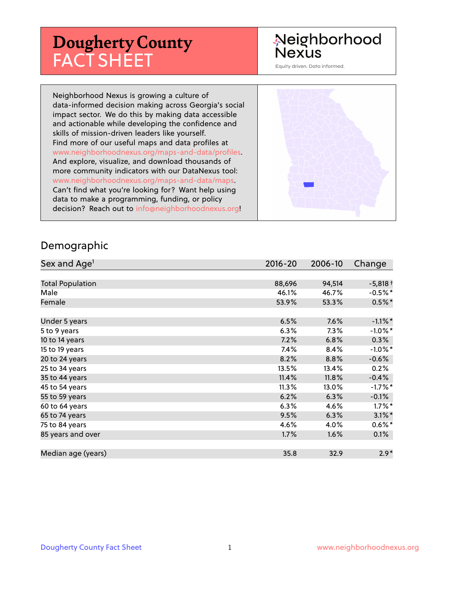## **Dougherty County** FACT SHEET

### Neighborhood **Nexus**

Equity driven. Data informed.

Neighborhood Nexus is growing a culture of data-informed decision making across Georgia's social impact sector. We do this by making data accessible and actionable while developing the confidence and skills of mission-driven leaders like yourself. Find more of our useful maps and data profiles at www.neighborhoodnexus.org/maps-and-data/profiles. And explore, visualize, and download thousands of more community indicators with our DataNexus tool: www.neighborhoodnexus.org/maps-and-data/maps. Can't find what you're looking for? Want help using data to make a programming, funding, or policy decision? Reach out to [info@neighborhoodnexus.org!](mailto:info@neighborhoodnexus.org)



#### Demographic

| Sex and Age <sup>1</sup> | $2016 - 20$ | 2006-10 | Change     |
|--------------------------|-------------|---------|------------|
|                          |             |         |            |
| <b>Total Population</b>  | 88,696      | 94,514  | $-5,818 +$ |
| Male                     | 46.1%       | 46.7%   | $-0.5%$ *  |
| Female                   | 53.9%       | 53.3%   | $0.5%$ *   |
|                          |             |         |            |
| Under 5 years            | 6.5%        | 7.6%    | $-1.1\%$ * |
| 5 to 9 years             | 6.3%        | $7.3\%$ | $-1.0\%$ * |
| 10 to 14 years           | 7.2%        | 6.8%    | $0.3\%$    |
| 15 to 19 years           | 7.4%        | 8.4%    | $-1.0\%$ * |
| 20 to 24 years           | 8.2%        | 8.8%    | $-0.6%$    |
| 25 to 34 years           | 13.5%       | 13.4%   | 0.2%       |
| 35 to 44 years           | 11.4%       | 11.8%   | $-0.4%$    |
| 45 to 54 years           | 11.3%       | 13.0%   | $-1.7%$ *  |
| 55 to 59 years           | 6.2%        | 6.3%    | $-0.1%$    |
| 60 to 64 years           | 6.3%        | 4.6%    | $1.7\%$ *  |
| 65 to 74 years           | 9.5%        | 6.3%    | $3.1\%$ *  |
| 75 to 84 years           | 4.6%        | 4.0%    | $0.6\%$ *  |
| 85 years and over        | 1.7%        | 1.6%    | 0.1%       |
|                          |             |         |            |
| Median age (years)       | 35.8        | 32.9    | $2.9*$     |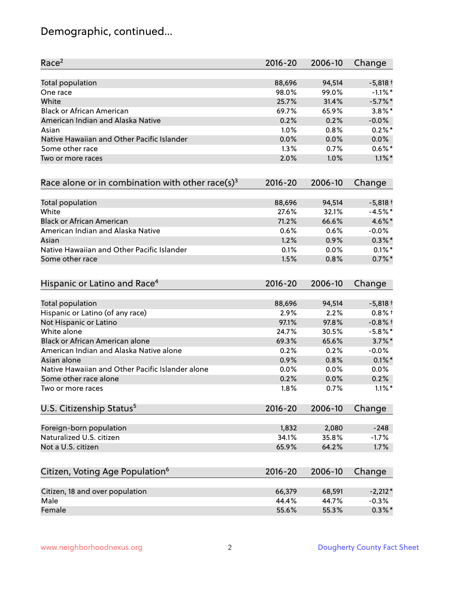### Demographic, continued...

| Race <sup>2</sup>                                   | $2016 - 20$ | 2006-10 | Change     |
|-----------------------------------------------------|-------------|---------|------------|
| <b>Total population</b>                             | 88,696      | 94,514  | $-5,818+$  |
| One race                                            | 98.0%       | 99.0%   | $-1.1\%$ * |
| White                                               | 25.7%       | 31.4%   | $-5.7\%$ * |
| <b>Black or African American</b>                    | 69.7%       | 65.9%   | $3.8\%$ *  |
| American Indian and Alaska Native                   | 0.2%        | 0.2%    | $-0.0%$    |
| Asian                                               | 1.0%        | 0.8%    | $0.2%$ *   |
| Native Hawaiian and Other Pacific Islander          | 0.0%        | 0.0%    | 0.0%       |
| Some other race                                     | 1.3%        | 0.7%    | $0.6\%*$   |
| Two or more races                                   | 2.0%        | 1.0%    | $1.1\%$ *  |
| Race alone or in combination with other race(s) $3$ | $2016 - 20$ | 2006-10 | Change     |
| Total population                                    | 88,696      | 94,514  | $-5,818+$  |
| White                                               | 27.6%       | 32.1%   | $-4.5%$ *  |
| <b>Black or African American</b>                    | 71.2%       | 66.6%   | 4.6%*      |
| American Indian and Alaska Native                   | 0.6%        | 0.6%    | $-0.0%$    |
| Asian                                               | 1.2%        | 0.9%    | $0.3\%$ *  |
| Native Hawaiian and Other Pacific Islander          | 0.1%        | 0.0%    | $0.1\%$ *  |
| Some other race                                     | 1.5%        | 0.8%    | $0.7%$ *   |
| Hispanic or Latino and Race <sup>4</sup>            | $2016 - 20$ | 2006-10 | Change     |
| Total population                                    | 88,696      | 94,514  | $-5,818+$  |
| Hispanic or Latino (of any race)                    | 2.9%        | 2.2%    | $0.8%$ +   |
| Not Hispanic or Latino                              | 97.1%       | 97.8%   | $-0.8%$ †  |
| White alone                                         | 24.7%       | 30.5%   | $-5.8\%$ * |
| Black or African American alone                     | 69.3%       | 65.6%   | $3.7\%$ *  |
| American Indian and Alaska Native alone             | 0.2%        | 0.2%    | $-0.0%$    |
| Asian alone                                         | 0.9%        | 0.8%    | $0.1\%$ *  |
| Native Hawaiian and Other Pacific Islander alone    | 0.0%        | 0.0%    | 0.0%       |
| Some other race alone                               | 0.2%        | 0.0%    | 0.2%       |
| Two or more races                                   | 1.8%        | 0.7%    | $1.1\%$ *  |
| U.S. Citizenship Status <sup>5</sup>                | $2016 - 20$ | 2006-10 | Change     |
| Foreign-born population                             | 1,832       | 2,080   | $-248$     |
| Naturalized U.S. citizen                            | 34.1%       | 35.8%   | $-1.7%$    |
| Not a U.S. citizen                                  | 65.9%       | 64.2%   | 1.7%       |
| Citizen, Voting Age Population <sup>6</sup>         | $2016 - 20$ | 2006-10 | Change     |
|                                                     |             |         |            |
| Citizen, 18 and over population                     | 66,379      | 68,591  | $-2,212*$  |
| Male                                                | 44.4%       | 44.7%   | $-0.3%$    |
| Female                                              | 55.6%       | 55.3%   | $0.3\%$ *  |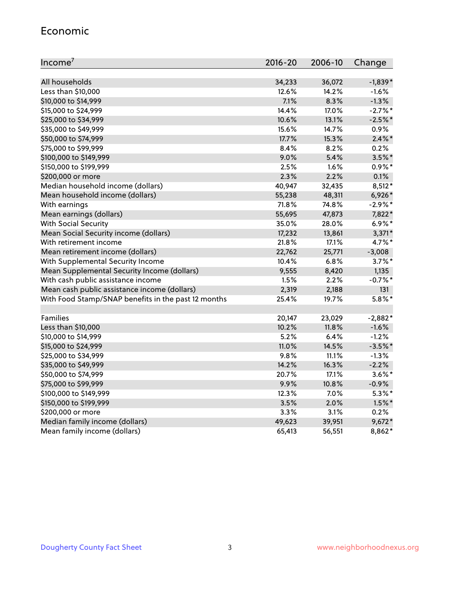#### Economic

| Income <sup>7</sup>                                 | $2016 - 20$ | 2006-10 | Change     |
|-----------------------------------------------------|-------------|---------|------------|
|                                                     |             |         |            |
| All households                                      | 34,233      | 36,072  | $-1,839*$  |
| Less than \$10,000                                  | 12.6%       | 14.2%   | $-1.6%$    |
| \$10,000 to \$14,999                                | 7.1%        | 8.3%    | $-1.3%$    |
| \$15,000 to \$24,999                                | 14.4%       | 17.0%   | $-2.7%$ *  |
| \$25,000 to \$34,999                                | 10.6%       | 13.1%   | $-2.5%$ *  |
| \$35,000 to \$49,999                                | 15.6%       | 14.7%   | $0.9\%$    |
| \$50,000 to \$74,999                                | 17.7%       | 15.3%   | $2.4\%$ *  |
| \$75,000 to \$99,999                                | 8.4%        | 8.2%    | 0.2%       |
| \$100,000 to \$149,999                              | 9.0%        | 5.4%    | $3.5\%$ *  |
| \$150,000 to \$199,999                              | 2.5%        | 1.6%    | $0.9%$ *   |
| \$200,000 or more                                   | 2.3%        | 2.2%    | 0.1%       |
| Median household income (dollars)                   | 40,947      | 32,435  | $8,512*$   |
| Mean household income (dollars)                     | 55,238      | 48,311  | 6,926*     |
| With earnings                                       | 71.8%       | 74.8%   | $-2.9\%$ * |
| Mean earnings (dollars)                             | 55,695      | 47,873  | 7,822*     |
| <b>With Social Security</b>                         | 35.0%       | 28.0%   | $6.9\%*$   |
| Mean Social Security income (dollars)               | 17,232      | 13,861  | $3,371*$   |
| With retirement income                              | 21.8%       | 17.1%   | 4.7%*      |
| Mean retirement income (dollars)                    | 22,762      | 25,771  | $-3,008$   |
| With Supplemental Security Income                   | 10.4%       | 6.8%    | $3.7\%$ *  |
| Mean Supplemental Security Income (dollars)         | 9,555       | 8,420   | 1,135      |
| With cash public assistance income                  | 1.5%        | 2.2%    | $-0.7%$ *  |
| Mean cash public assistance income (dollars)        | 2,319       | 2,188   | 131        |
| With Food Stamp/SNAP benefits in the past 12 months | 25.4%       | 19.7%   | $5.8\%$ *  |
|                                                     |             |         |            |
| Families                                            | 20,147      | 23,029  | $-2,882*$  |
| Less than \$10,000                                  | 10.2%       | 11.8%   | $-1.6%$    |
| \$10,000 to \$14,999                                | 5.2%        | 6.4%    | $-1.2%$    |
| \$15,000 to \$24,999                                | 11.0%       | 14.5%   | $-3.5%$ *  |
| \$25,000 to \$34,999                                | 9.8%        | 11.1%   | $-1.3%$    |
| \$35,000 to \$49,999                                | 14.2%       | 16.3%   | $-2.2%$    |
| \$50,000 to \$74,999                                | 20.7%       | 17.1%   | $3.6\%$ *  |
| \$75,000 to \$99,999                                | 9.9%        | 10.8%   | $-0.9%$    |
| \$100,000 to \$149,999                              | 12.3%       | 7.0%    | $5.3\%$ *  |
| \$150,000 to \$199,999                              | 3.5%        | 2.0%    | $1.5\%$ *  |
| \$200,000 or more                                   | 3.3%        | 3.1%    | 0.2%       |
| Median family income (dollars)                      | 49,623      | 39,951  | $9,672*$   |
| Mean family income (dollars)                        | 65,413      | 56,551  | 8,862*     |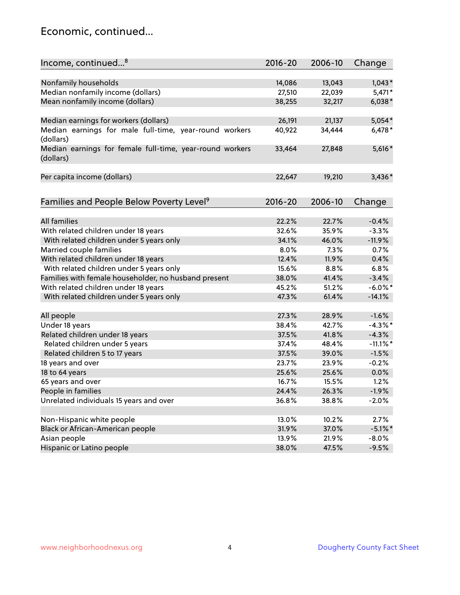#### Economic, continued...

| Income, continued <sup>8</sup>                                        | $2016 - 20$ | 2006-10 | Change      |
|-----------------------------------------------------------------------|-------------|---------|-------------|
|                                                                       |             |         |             |
| Nonfamily households                                                  | 14,086      | 13,043  | $1,043*$    |
| Median nonfamily income (dollars)                                     | 27,510      | 22,039  | $5,471*$    |
| Mean nonfamily income (dollars)                                       | 38,255      | 32,217  | $6,038*$    |
| Median earnings for workers (dollars)                                 | 26,191      | 21,137  | 5,054*      |
| Median earnings for male full-time, year-round workers<br>(dollars)   | 40,922      | 34,444  | $6,478*$    |
| Median earnings for female full-time, year-round workers<br>(dollars) | 33,464      | 27,848  | 5,616*      |
| Per capita income (dollars)                                           | 22,647      | 19,210  | $3,436*$    |
| Families and People Below Poverty Level <sup>9</sup>                  | 2016-20     | 2006-10 | Change      |
|                                                                       |             |         |             |
| <b>All families</b>                                                   | 22.2%       | 22.7%   | $-0.4%$     |
| With related children under 18 years                                  | 32.6%       | 35.9%   | $-3.3%$     |
| With related children under 5 years only                              | 34.1%       | 46.0%   | $-11.9%$    |
| Married couple families                                               | 8.0%        | 7.3%    | 0.7%        |
| With related children under 18 years                                  | 12.4%       | 11.9%   | 0.4%        |
| With related children under 5 years only                              | 15.6%       | 8.8%    | 6.8%        |
| Families with female householder, no husband present                  | 38.0%       | 41.4%   | $-3.4%$     |
| With related children under 18 years                                  | 45.2%       | 51.2%   | $-6.0\%$ *  |
| With related children under 5 years only                              | 47.3%       | 61.4%   | $-14.1%$    |
|                                                                       | 27.3%       | 28.9%   | $-1.6%$     |
| All people<br>Under 18 years                                          | 38.4%       | 42.7%   | $-4.3\%$ *  |
| Related children under 18 years                                       | 37.5%       | 41.8%   | $-4.3%$     |
|                                                                       | 37.4%       | 48.4%   | $-11.1\%$ * |
| Related children under 5 years                                        |             |         |             |
| Related children 5 to 17 years                                        | 37.5%       | 39.0%   | $-1.5%$     |
| 18 years and over                                                     | 23.7%       | 23.9%   | $-0.2%$     |
| 18 to 64 years                                                        | 25.6%       | 25.6%   | 0.0%        |
| 65 years and over                                                     | 16.7%       | 15.5%   | 1.2%        |
| People in families                                                    | 24.4%       | 26.3%   | $-1.9%$     |
| Unrelated individuals 15 years and over                               | 36.8%       | 38.8%   | $-2.0%$     |
|                                                                       |             |         |             |
| Non-Hispanic white people                                             | 13.0%       | 10.2%   | 2.7%        |
| Black or African-American people                                      | 31.9%       | 37.0%   | $-5.1\%$ *  |
| Asian people                                                          | 13.9%       | 21.9%   | $-8.0%$     |
| Hispanic or Latino people                                             | 38.0%       | 47.5%   | $-9.5%$     |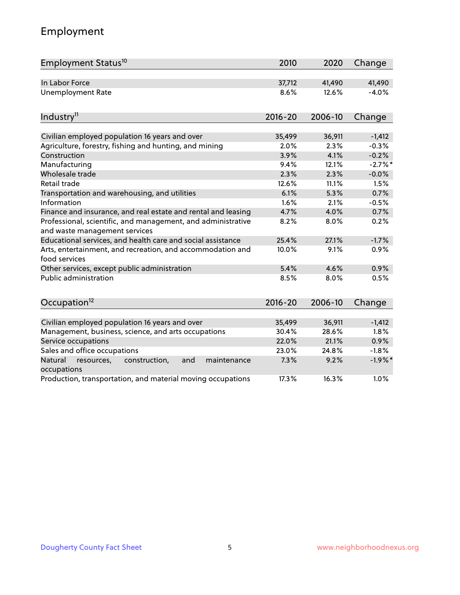### Employment

| Employment Status <sup>10</sup>                                                               | 2010        | 2020    | Change     |
|-----------------------------------------------------------------------------------------------|-------------|---------|------------|
| In Labor Force                                                                                | 37,712      | 41,490  | 41,490     |
| <b>Unemployment Rate</b>                                                                      | 8.6%        | 12.6%   | $-4.0%$    |
| Industry <sup>11</sup>                                                                        | $2016 - 20$ | 2006-10 | Change     |
|                                                                                               |             |         |            |
| Civilian employed population 16 years and over                                                | 35,499      | 36,911  | $-1,412$   |
| Agriculture, forestry, fishing and hunting, and mining                                        | 2.0%        | 2.3%    | $-0.3%$    |
| Construction                                                                                  | 3.9%        | 4.1%    | $-0.2%$    |
| Manufacturing                                                                                 | 9.4%        | 12.1%   | $-2.7\%$ * |
| Wholesale trade                                                                               | 2.3%        | 2.3%    | $-0.0%$    |
| Retail trade                                                                                  | 12.6%       | 11.1%   | 1.5%       |
| Transportation and warehousing, and utilities                                                 | 6.1%        | 5.3%    | 0.7%       |
| Information                                                                                   | 1.6%        | 2.1%    | $-0.5%$    |
| Finance and insurance, and real estate and rental and leasing                                 | 4.7%        | 4.0%    | 0.7%       |
| Professional, scientific, and management, and administrative<br>and waste management services | 8.2%        | 8.0%    | 0.2%       |
| Educational services, and health care and social assistance                                   | 25.4%       | 27.1%   | $-1.7%$    |
| Arts, entertainment, and recreation, and accommodation and<br>food services                   | 10.0%       | 9.1%    | 0.9%       |
| Other services, except public administration                                                  | 5.4%        | 4.6%    | 0.9%       |
| Public administration                                                                         | 8.5%        | 8.0%    | 0.5%       |
| Occupation <sup>12</sup>                                                                      | $2016 - 20$ | 2006-10 | Change     |
|                                                                                               |             |         |            |
| Civilian employed population 16 years and over                                                | 35,499      | 36,911  | $-1,412$   |
| Management, business, science, and arts occupations                                           | 30.4%       | 28.6%   | 1.8%       |
| Service occupations                                                                           | 22.0%       | 21.1%   | 0.9%       |
| Sales and office occupations                                                                  | 23.0%       | 24.8%   | $-1.8%$    |
| Natural<br>resources,<br>construction,<br>and<br>maintenance<br>occupations                   | 7.3%        | 9.2%    | $-1.9%$ *  |
| Production, transportation, and material moving occupations                                   | 17.3%       | 16.3%   | 1.0%       |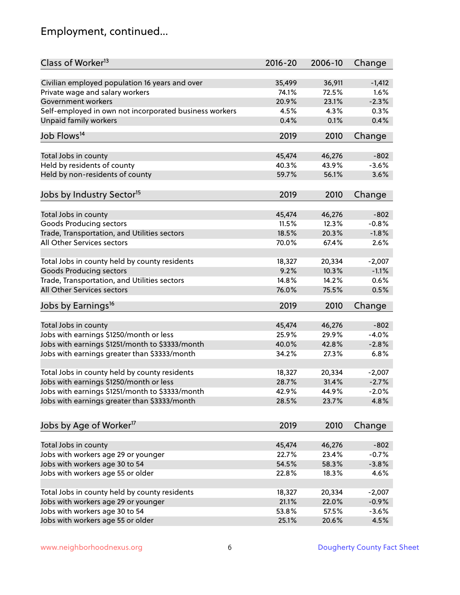### Employment, continued...

| Class of Worker <sup>13</sup>                          | $2016 - 20$ | 2006-10 | Change   |
|--------------------------------------------------------|-------------|---------|----------|
| Civilian employed population 16 years and over         | 35,499      | 36,911  | $-1,412$ |
| Private wage and salary workers                        | 74.1%       | 72.5%   | 1.6%     |
| Government workers                                     | 20.9%       | 23.1%   | $-2.3%$  |
| Self-employed in own not incorporated business workers | 4.5%        | 4.3%    | 0.3%     |
| Unpaid family workers                                  | 0.4%        | 0.1%    | 0.4%     |
|                                                        |             |         |          |
| Job Flows <sup>14</sup>                                | 2019        | 2010    | Change   |
| Total Jobs in county                                   | 45,474      | 46,276  | $-802$   |
| Held by residents of county                            | 40.3%       | 43.9%   | $-3.6%$  |
|                                                        | 59.7%       | 56.1%   | 3.6%     |
| Held by non-residents of county                        |             |         |          |
| Jobs by Industry Sector <sup>15</sup>                  | 2019        | 2010    | Change   |
|                                                        |             |         |          |
| Total Jobs in county                                   | 45,474      | 46,276  | $-802$   |
| Goods Producing sectors                                | 11.5%       | 12.3%   | $-0.8%$  |
| Trade, Transportation, and Utilities sectors           | 18.5%       | 20.3%   | $-1.8%$  |
| All Other Services sectors                             | 70.0%       | 67.4%   | 2.6%     |
| Total Jobs in county held by county residents          | 18,327      | 20,334  | $-2,007$ |
| <b>Goods Producing sectors</b>                         | 9.2%        | 10.3%   | $-1.1%$  |
| Trade, Transportation, and Utilities sectors           | 14.8%       | 14.2%   | 0.6%     |
| All Other Services sectors                             | 76.0%       | 75.5%   | 0.5%     |
|                                                        |             |         |          |
| Jobs by Earnings <sup>16</sup>                         | 2019        | 2010    | Change   |
| Total Jobs in county                                   | 45,474      | 46,276  | $-802$   |
| Jobs with earnings \$1250/month or less                | 25.9%       | 29.9%   | $-4.0%$  |
| Jobs with earnings \$1251/month to \$3333/month        | 40.0%       | 42.8%   | $-2.8%$  |
|                                                        | 34.2%       | 27.3%   | 6.8%     |
| Jobs with earnings greater than \$3333/month           |             |         |          |
| Total Jobs in county held by county residents          | 18,327      | 20,334  | $-2,007$ |
| Jobs with earnings \$1250/month or less                | 28.7%       | 31.4%   | $-2.7%$  |
| Jobs with earnings \$1251/month to \$3333/month        | 42.9%       | 44.9%   | $-2.0\%$ |
| Jobs with earnings greater than \$3333/month           | 28.5%       | 23.7%   | 4.8%     |
|                                                        |             |         |          |
| Jobs by Age of Worker <sup>17</sup>                    | 2019        | 2010    | Change   |
|                                                        |             |         |          |
| Total Jobs in county                                   | 45,474      | 46,276  | $-802$   |
| Jobs with workers age 29 or younger                    | 22.7%       | 23.4%   | $-0.7%$  |
| Jobs with workers age 30 to 54                         | 54.5%       | 58.3%   | $-3.8%$  |
| Jobs with workers age 55 or older                      | 22.8%       | 18.3%   | 4.6%     |
| Total Jobs in county held by county residents          | 18,327      | 20,334  | $-2,007$ |
| Jobs with workers age 29 or younger                    | 21.1%       | 22.0%   | $-0.9%$  |
| Jobs with workers age 30 to 54                         | 53.8%       | 57.5%   | $-3.6%$  |
| Jobs with workers age 55 or older                      | 25.1%       | 20.6%   | 4.5%     |
|                                                        |             |         |          |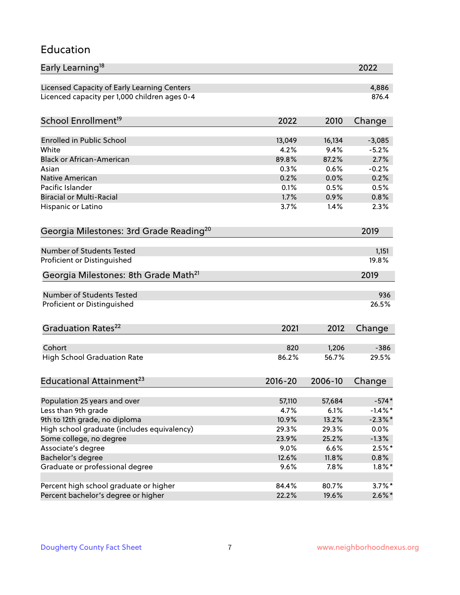#### Education

| Early Learning <sup>18</sup>                        |              |               | 2022         |
|-----------------------------------------------------|--------------|---------------|--------------|
| Licensed Capacity of Early Learning Centers         |              |               | 4,886        |
| Licenced capacity per 1,000 children ages 0-4       |              |               | 876.4        |
| School Enrollment <sup>19</sup>                     | 2022         | 2010          | Change       |
|                                                     |              |               |              |
| <b>Enrolled in Public School</b>                    | 13,049       | 16,134        | $-3,085$     |
| White<br><b>Black or African-American</b>           | 4.2%         | 9.4%          | $-5.2%$      |
|                                                     | 89.8%        | 87.2%<br>0.6% | 2.7%         |
| Asian                                               | 0.3%         |               | $-0.2%$      |
| Native American<br>Pacific Islander                 | 0.2%         | 0.0%          | 0.2%         |
| <b>Biracial or Multi-Racial</b>                     | 0.1%<br>1.7% | 0.5%          | 0.5%<br>0.8% |
|                                                     |              | 0.9%          |              |
| Hispanic or Latino                                  | 3.7%         | 1.4%          | 2.3%         |
| Georgia Milestones: 3rd Grade Reading <sup>20</sup> |              |               | 2019         |
| Number of Students Tested                           |              |               |              |
|                                                     |              |               | 1,151        |
| Proficient or Distinguished                         |              |               | 19.8%        |
| Georgia Milestones: 8th Grade Math <sup>21</sup>    |              |               | 2019         |
| Number of Students Tested                           |              |               | 936          |
| Proficient or Distinguished                         |              |               | 26.5%        |
| Graduation Rates <sup>22</sup>                      | 2021         | 2012          | Change       |
|                                                     |              |               |              |
| Cohort                                              | 820          | 1,206         | $-386$       |
| <b>High School Graduation Rate</b>                  | 86.2%        | 56.7%         | 29.5%        |
| Educational Attainment <sup>23</sup>                | $2016 - 20$  | 2006-10       | Change       |
| Population 25 years and over                        | 57,110       | 57,684        | $-574*$      |
| Less than 9th grade                                 | 4.7%         | 6.1%          | $-1.4\%$ *   |
| 9th to 12th grade, no diploma                       | 10.9%        | 13.2%         | $-2.3\%$ *   |
| High school graduate (includes equivalency)         | 29.3%        | 29.3%         | $0.0\%$      |
| Some college, no degree                             | 23.9%        | 25.2%         | $-1.3%$      |
| Associate's degree                                  | 9.0%         | 6.6%          | $2.5%$ *     |
| Bachelor's degree                                   | 12.6%        | 11.8%         | 0.8%         |
|                                                     |              |               |              |
| Graduate or professional degree                     | 9.6%         | 7.8%          | $1.8\%$ *    |
| Percent high school graduate or higher              | 84.4%        | 80.7%         | $3.7\%$ *    |
| Percent bachelor's degree or higher                 | 22.2%        | 19.6%         | $2.6\%*$     |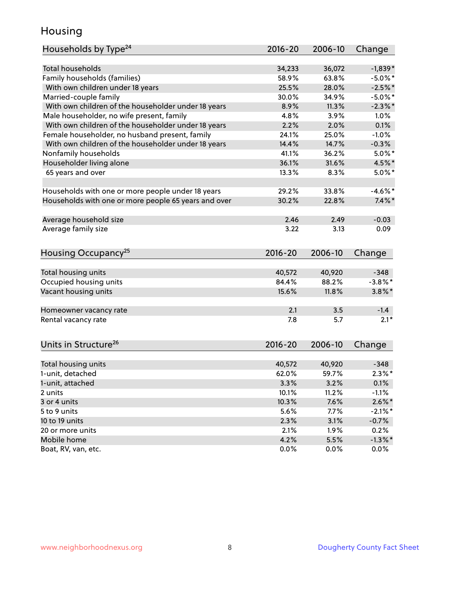#### Housing

| Households by Type <sup>24</sup>                     | 2016-20     | 2006-10 | Change     |
|------------------------------------------------------|-------------|---------|------------|
|                                                      |             |         |            |
| <b>Total households</b>                              | 34,233      | 36,072  | $-1,839*$  |
| Family households (families)                         | 58.9%       | 63.8%   | $-5.0\%$ * |
| With own children under 18 years                     | 25.5%       | 28.0%   | $-2.5%$ *  |
| Married-couple family                                | 30.0%       | 34.9%   | $-5.0\%$ * |
| With own children of the householder under 18 years  | 8.9%        | 11.3%   | $-2.3\%$ * |
| Male householder, no wife present, family            | 4.8%        | 3.9%    | 1.0%       |
| With own children of the householder under 18 years  | 2.2%        | 2.0%    | 0.1%       |
| Female householder, no husband present, family       | 24.1%       | 25.0%   | $-1.0%$    |
| With own children of the householder under 18 years  | 14.4%       | 14.7%   | $-0.3%$    |
| Nonfamily households                                 | 41.1%       | 36.2%   | $5.0\%$ *  |
| Householder living alone                             | 36.1%       | 31.6%   | 4.5%*      |
| 65 years and over                                    | 13.3%       | 8.3%    | $5.0\%$ *  |
|                                                      |             |         |            |
| Households with one or more people under 18 years    | 29.2%       | 33.8%   | $-4.6\%$ * |
| Households with one or more people 65 years and over | 30.2%       | 22.8%   | $7.4\%$ *  |
|                                                      |             |         |            |
| Average household size                               | 2.46        | 2.49    | $-0.03$    |
| Average family size                                  | 3.22        | 3.13    | 0.09       |
|                                                      |             |         |            |
| Housing Occupancy <sup>25</sup>                      | $2016 - 20$ | 2006-10 | Change     |
|                                                      |             |         |            |
| Total housing units                                  | 40,572      | 40,920  | $-348$     |
| Occupied housing units                               | 84.4%       | 88.2%   | $-3.8\%$ * |
| Vacant housing units                                 | 15.6%       | 11.8%   | $3.8\%$ *  |
|                                                      |             |         |            |
| Homeowner vacancy rate                               | 2.1         | 3.5     | $-1.4$     |
| Rental vacancy rate                                  | 7.8         | 5.7     | $2.1*$     |
|                                                      |             |         |            |
|                                                      |             | 2006-10 |            |
| Units in Structure <sup>26</sup>                     | $2016 - 20$ |         | Change     |
| Total housing units                                  | 40,572      | 40,920  | $-348$     |
| 1-unit, detached                                     | 62.0%       | 59.7%   | $2.3\%$ *  |
| 1-unit, attached                                     |             |         |            |
|                                                      | 3.3%        | 3.2%    | 0.1%       |
| 2 units                                              | 10.1%       | 11.2%   | $-1.1%$    |
| 3 or 4 units                                         | 10.3%       | 7.6%    | $2.6\%$ *  |
| 5 to 9 units                                         | 5.6%        | 7.7%    | $-2.1\%$ * |
| 10 to 19 units                                       | 2.3%        | 3.1%    | $-0.7%$    |
| 20 or more units                                     | 2.1%        | 1.9%    | 0.2%       |
| Mobile home                                          | 4.2%        | 5.5%    | $-1.3%$ *  |
| Boat, RV, van, etc.                                  | 0.0%        | 0.0%    | $0.0\%$    |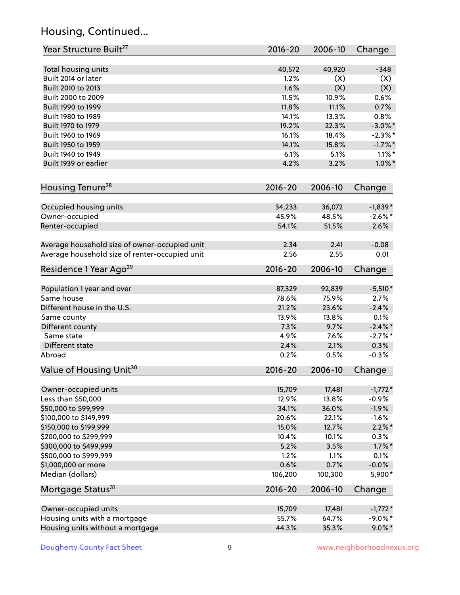### Housing, Continued...

| Year Structure Built <sup>27</sup>             | 2016-20     | 2006-10 | Change     |
|------------------------------------------------|-------------|---------|------------|
| Total housing units                            | 40,572      | 40,920  | $-348$     |
| Built 2014 or later                            | 1.2%        | (X)     | (X)        |
| Built 2010 to 2013                             | 1.6%        | (X)     | (X)        |
| Built 2000 to 2009                             | 11.5%       | 10.9%   | 0.6%       |
| Built 1990 to 1999                             | 11.8%       | 11.1%   | 0.7%       |
| Built 1980 to 1989                             | 14.1%       | 13.3%   | 0.8%       |
| Built 1970 to 1979                             | 19.2%       | 22.3%   | $-3.0\%$ * |
| Built 1960 to 1969                             | 16.1%       | 18.4%   | $-2.3%$ *  |
| Built 1950 to 1959                             | 14.1%       | 15.8%   | $-1.7\%$ * |
| Built 1940 to 1949                             | 6.1%        | 5.1%    | $1.1\%$ *  |
| Built 1939 or earlier                          | 4.2%        | 3.2%    | $1.0\%$ *  |
| Housing Tenure <sup>28</sup>                   | $2016 - 20$ | 2006-10 | Change     |
|                                                |             |         |            |
| Occupied housing units                         | 34,233      | 36,072  | $-1,839*$  |
| Owner-occupied                                 | 45.9%       | 48.5%   | $-2.6%$ *  |
| Renter-occupied                                | 54.1%       | 51.5%   | 2.6%       |
| Average household size of owner-occupied unit  | 2.34        | 2.41    | $-0.08$    |
| Average household size of renter-occupied unit | 2.56        | 2.55    | 0.01       |
| Residence 1 Year Ago <sup>29</sup>             | 2016-20     | 2006-10 | Change     |
| Population 1 year and over                     | 87,329      | 92,839  | $-5,510*$  |
| Same house                                     | 78.6%       | 75.9%   | 2.7%       |
| Different house in the U.S.                    | 21.2%       | 23.6%   | $-2.4%$    |
| Same county                                    | 13.9%       | 13.8%   | 0.1%       |
| Different county                               | 7.3%        | 9.7%    | $-2.4\%$ * |
| Same state                                     | 4.9%        | 7.6%    | $-2.7%$ *  |
| Different state                                | 2.4%        | 2.1%    | 0.3%       |
| Abroad                                         | 0.2%        | 0.5%    | $-0.3%$    |
| Value of Housing Unit <sup>30</sup>            | $2016 - 20$ | 2006-10 | Change     |
|                                                |             |         |            |
| Owner-occupied units                           | 15,709      | 17,481  | $-1,772*$  |
| Less than \$50,000                             | 12.9%       | 13.8%   | $-0.9%$    |
| \$50,000 to \$99,999                           | 34.1%       | 36.0%   | $-1.9%$    |
| \$100,000 to \$149,999                         | 20.6%       | 22.1%   | $-1.6%$    |
| \$150,000 to \$199,999                         | 15.0%       | 12.7%   | $2.2\%$ *  |
| \$200,000 to \$299,999                         | 10.4%       | 10.1%   | 0.3%       |
| \$300,000 to \$499,999                         | 5.2%        | 3.5%    | $1.7\%$ *  |
| \$500,000 to \$999,999                         | 1.2%        | 1.1%    | 0.1%       |
| \$1,000,000 or more                            | 0.6%        | 0.7%    | $-0.0%$    |
| Median (dollars)                               | 106,200     | 100,300 | 5,900*     |
| Mortgage Status <sup>31</sup>                  | $2016 - 20$ | 2006-10 | Change     |
| Owner-occupied units                           | 15,709      | 17,481  | $-1,772*$  |
| Housing units with a mortgage                  | 55.7%       | 64.7%   | $-9.0\%$ * |
| Housing units without a mortgage               | 44.3%       | 35.3%   | $9.0\%$ *  |
|                                                |             |         |            |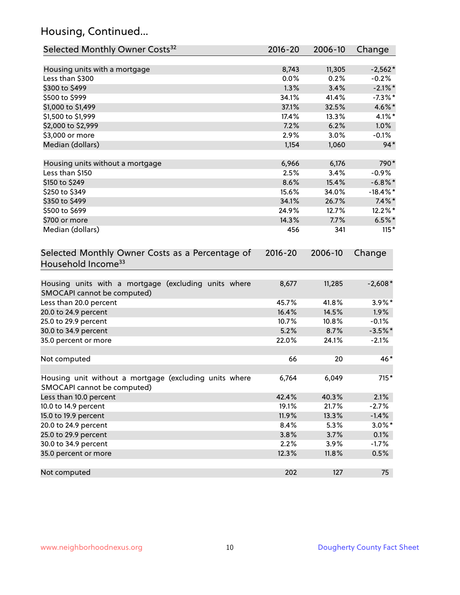### Housing, Continued...

| Selected Monthly Owner Costs <sup>32</sup>                                            | 2016-20     | 2006-10 | Change      |
|---------------------------------------------------------------------------------------|-------------|---------|-------------|
| Housing units with a mortgage                                                         | 8,743       | 11,305  | $-2,562*$   |
| Less than \$300                                                                       | 0.0%        | 0.2%    | $-0.2%$     |
| \$300 to \$499                                                                        | 1.3%        | 3.4%    | $-2.1\%$ *  |
| \$500 to \$999                                                                        | 34.1%       | 41.4%   | $-7.3\%$ *  |
| \$1,000 to \$1,499                                                                    | 37.1%       | 32.5%   | 4.6%*       |
| \$1,500 to \$1,999                                                                    | 17.4%       | 13.3%   | 4.1%*       |
| \$2,000 to \$2,999                                                                    | 7.2%        | 6.2%    | 1.0%        |
| \$3,000 or more                                                                       | 2.9%        | 3.0%    | $-0.1%$     |
| Median (dollars)                                                                      | 1,154       | 1,060   | $94*$       |
| Housing units without a mortgage                                                      | 6,966       | 6,176   | 790*        |
| Less than \$150                                                                       | 2.5%        | 3.4%    | $-0.9%$     |
| \$150 to \$249                                                                        | 8.6%        | 15.4%   | $-6.8\%$ *  |
| \$250 to \$349                                                                        | 15.6%       | 34.0%   | $-18.4\%$ * |
| \$350 to \$499                                                                        | 34.1%       | 26.7%   | $7.4\%$ *   |
| \$500 to \$699                                                                        | 24.9%       | 12.7%   | 12.2%*      |
| \$700 or more                                                                         | 14.3%       | 7.7%    | $6.5\%$ *   |
| Median (dollars)                                                                      | 456         | 341     | $115*$      |
| Selected Monthly Owner Costs as a Percentage of<br>Household Income <sup>33</sup>     | $2016 - 20$ | 2006-10 | Change      |
| Housing units with a mortgage (excluding units where<br>SMOCAPI cannot be computed)   | 8,677       | 11,285  | $-2,608*$   |
| Less than 20.0 percent                                                                | 45.7%       | 41.8%   | $3.9\%$ *   |
| 20.0 to 24.9 percent                                                                  | 16.4%       | 14.5%   | 1.9%        |
| 25.0 to 29.9 percent                                                                  | 10.7%       | 10.8%   | $-0.1%$     |
| 30.0 to 34.9 percent                                                                  | 5.2%        | 8.7%    | $-3.5%$ *   |
| 35.0 percent or more                                                                  | 22.0%       | 24.1%   | $-2.1%$     |
| Not computed                                                                          | 66          | 20      | 46*         |
| Housing unit without a mortgage (excluding units where<br>SMOCAPI cannot be computed) | 6,764       | 6,049   | $715*$      |
| Less than 10.0 percent                                                                | 42.4%       | 40.3%   | 2.1%        |
| 10.0 to 14.9 percent                                                                  | 19.1%       | 21.7%   | $-2.7%$     |
| 15.0 to 19.9 percent                                                                  | 11.9%       | 13.3%   | $-1.4%$     |
| 20.0 to 24.9 percent                                                                  | 8.4%        | 5.3%    | $3.0\%$ *   |
| 25.0 to 29.9 percent                                                                  | 3.8%        | 3.7%    | 0.1%        |
| 30.0 to 34.9 percent                                                                  | 2.2%        | 3.9%    | $-1.7%$     |
| 35.0 percent or more                                                                  | 12.3%       | 11.8%   | 0.5%        |
| Not computed                                                                          | 202         | 127     | 75          |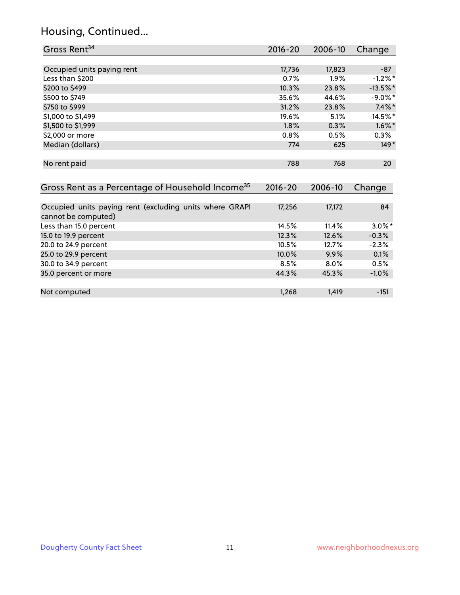### Housing, Continued...

| Gross Rent <sup>34</sup>                                                       | $2016 - 20$ | 2006-10 | Change     |
|--------------------------------------------------------------------------------|-------------|---------|------------|
|                                                                                |             |         |            |
| Occupied units paying rent                                                     | 17,736      | 17,823  | $-87$      |
| Less than \$200                                                                | 0.7%        | 1.9%    | $-1.2%$ *  |
| \$200 to \$499                                                                 | 10.3%       | 23.8%   | $-13.5%$ * |
| \$500 to \$749                                                                 | 35.6%       | 44.6%   | $-9.0\%$ * |
| \$750 to \$999                                                                 | 31.2%       | 23.8%   | $7.4\%$ *  |
| \$1,000 to \$1,499                                                             | 19.6%       | 5.1%    | 14.5%*     |
| \$1,500 to \$1,999                                                             | 1.8%        | 0.3%    | $1.6\%$ *  |
| \$2,000 or more                                                                | 0.8%        | 0.5%    | 0.3%       |
| Median (dollars)                                                               | 774         | 625     | $149*$     |
| No rent paid                                                                   | 788         | 768     | 20         |
| Gross Rent as a Percentage of Household Income <sup>35</sup>                   | $2016 - 20$ | 2006-10 | Change     |
| Occupied units paying rent (excluding units where GRAPI<br>cannot be computed) | 17,256      | 17,172  | 84         |
| Less than 15.0 percent                                                         | 14.5%       | 11.4%   | $3.0\%$ *  |
| 15.0 to 19.9 percent                                                           | 12.3%       | 12.6%   | $-0.3%$    |
| 20.0 to 24.9 percent                                                           | 10.5%       | 12.7%   | $-2.3%$    |
| 25.0 to 29.9 percent                                                           | 10.0%       | 9.9%    | 0.1%       |
| 30.0 to 34.9 percent                                                           | 8.5%        | $8.0\%$ | 0.5%       |
| 35.0 percent or more                                                           | 44.3%       | 45.3%   | $-1.0%$    |

Not computed and the computed the computed of the computed computed the computed of the computed computed computed  $1,268$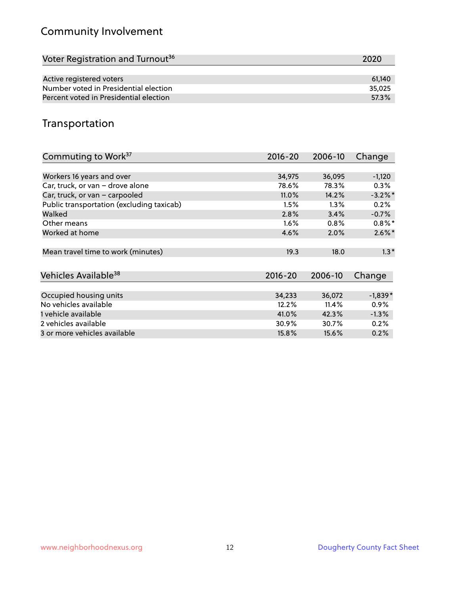### Community Involvement

| Voter Registration and Turnout <sup>36</sup> | 2020   |
|----------------------------------------------|--------|
|                                              |        |
| Active registered voters                     | 61.140 |
| Number voted in Presidential election        | 35,025 |
| Percent voted in Presidential election       | 57.3%  |

#### Transportation

| Commuting to Work <sup>37</sup>           | 2016-20     | 2006-10 | Change     |
|-------------------------------------------|-------------|---------|------------|
|                                           |             |         |            |
| Workers 16 years and over                 | 34,975      | 36,095  | $-1,120$   |
| Car, truck, or van - drove alone          | 78.6%       | 78.3%   | $0.3\%$    |
| Car, truck, or van - carpooled            | 11.0%       | 14.2%   | $-3.2\%$ * |
| Public transportation (excluding taxicab) | 1.5%        | 1.3%    | 0.2%       |
| Walked                                    | 2.8%        | 3.4%    | $-0.7%$    |
| Other means                               | $1.6\%$     | $0.8\%$ | $0.8\%$ *  |
| Worked at home                            | 4.6%        | 2.0%    | $2.6\%$ *  |
| Mean travel time to work (minutes)        | 19.3        | 18.0    | $1.3*$     |
| Vehicles Available <sup>38</sup>          | $2016 - 20$ | 2006-10 | Change     |
| Occupied housing units                    | 34,233      | 36,072  | $-1,839*$  |
| No vehicles available                     | 12.2%       | 11.4%   | $0.9\%$    |
| 1 vehicle available                       | 41.0%       | 42.3%   | $-1.3%$    |
| 2 vehicles available                      | 30.9%       | 30.7%   | 0.2%       |
| 3 or more vehicles available              | 15.8%       | 15.6%   | 0.2%       |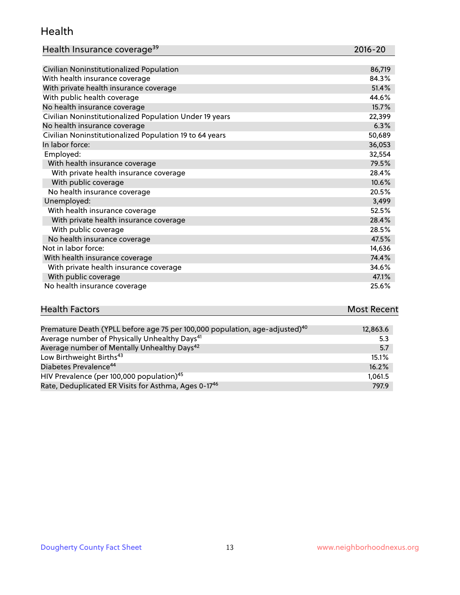#### Health

| Health Insurance coverage <sup>39</sup> | 2016-20 |
|-----------------------------------------|---------|
|-----------------------------------------|---------|

| Civilian Noninstitutionalized Population                | 86,719 |
|---------------------------------------------------------|--------|
| With health insurance coverage                          | 84.3%  |
| With private health insurance coverage                  | 51.4%  |
| With public health coverage                             | 44.6%  |
| No health insurance coverage                            | 15.7%  |
| Civilian Noninstitutionalized Population Under 19 years | 22,399 |
| No health insurance coverage                            | 6.3%   |
| Civilian Noninstitutionalized Population 19 to 64 years | 50,689 |
| In labor force:                                         | 36,053 |
| Employed:                                               | 32,554 |
| With health insurance coverage                          | 79.5%  |
| With private health insurance coverage                  | 28.4%  |
| With public coverage                                    | 10.6%  |
| No health insurance coverage                            | 20.5%  |
| Unemployed:                                             | 3,499  |
| With health insurance coverage                          | 52.5%  |
| With private health insurance coverage                  | 28.4%  |
| With public coverage                                    | 28.5%  |
| No health insurance coverage                            | 47.5%  |
| Not in labor force:                                     | 14,636 |
| With health insurance coverage                          | 74.4%  |
| With private health insurance coverage                  | 34.6%  |
| With public coverage                                    | 47.1%  |
| No health insurance coverage                            | 25.6%  |

# **Health Factors Most Recent** And The Control of the Control of The Control of The Control of The Control of The Control of The Control of The Control of The Control of The Control of The Control of The Control of The Contr

| Premature Death (YPLL before age 75 per 100,000 population, age-adjusted) <sup>40</sup> | 12,863.6 |
|-----------------------------------------------------------------------------------------|----------|
| Average number of Physically Unhealthy Days <sup>41</sup>                               | 5.3      |
| Average number of Mentally Unhealthy Days <sup>42</sup>                                 | 5.7      |
| Low Birthweight Births <sup>43</sup>                                                    | $15.1\%$ |
| Diabetes Prevalence <sup>44</sup>                                                       | 16.2%    |
| HIV Prevalence (per 100,000 population) <sup>45</sup>                                   | 1.061.5  |
| Rate, Deduplicated ER Visits for Asthma, Ages 0-17 <sup>46</sup>                        | 797.9    |